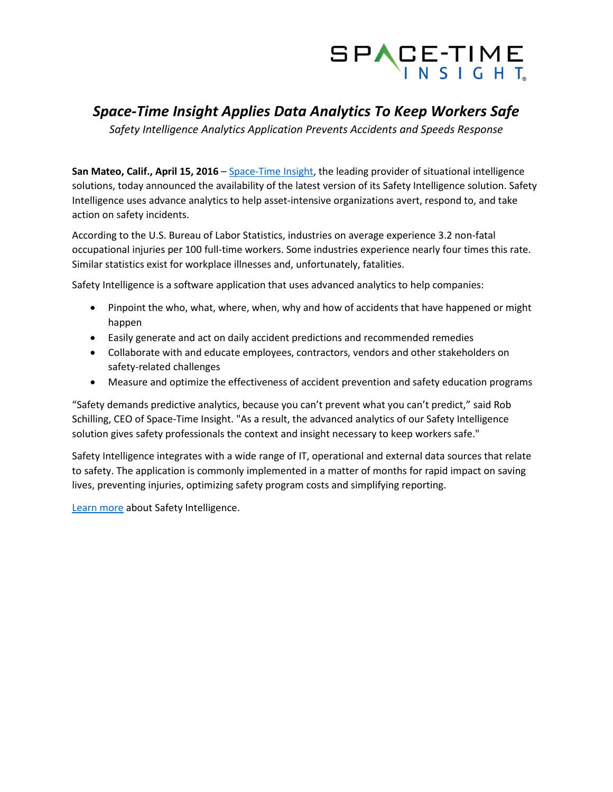## SPACE-TIME

## *Space-Time Insight Applies Data Analytics To Keep Workers Safe*

*Safety Intelligence Analytics Application Prevents Accidents and Speeds Response* 

**San Mateo, Calif., April 15, 2016** – [Space‐Time Insight](http://www.spacetimeinsight.com/), the leading provider of situational intelligence solutions, today announced the availability of the latest version of its Safety Intelligence solution. Safety Intelligence uses advance analytics to help asset-intensive organizations avert, respond to, and take action on safety incidents.

According to the U.S. Bureau of Labor Statistics, industries on average experience 3.2 non-fatal occupational injuries per 100 full-time workers. Some industries experience nearly four times this rate. Similar statistics exist for workplace illnesses and, unfortunately, fatalities.

Safety Intelligence is a software application that uses advanced analytics to help companies:

- Pinpoint the who, what, where, when, why and how of accidents that have happened or might happen
- Easily generate and act on daily accident predictions and recommended remedies
- Collaborate with and educate employees, contractors, vendors and other stakeholders on safety-related challenges
- Measure and optimize the effectiveness of accident prevention and safety education programs

"Safety demands predictive analytics, because you can't prevent what you can't predict," said Rob Schilling, CEO of Space-Time Insight. "As a result, the advanced analytics of our Safety Intelligence solution gives safety professionals the context and insight necessary to keep workers safe."

Safety Intelligence integrates with a wide range of IT, operational and external data sources that relate to safety. The application is commonly implemented in a matter of months for rapid impact on saving lives, preventing injuries, optimizing safety program costs and simplifying reporting.

[Learn more](http://www.spacetimeinsight.com/solutions/safety-intelligence) about Safety Intelligence.